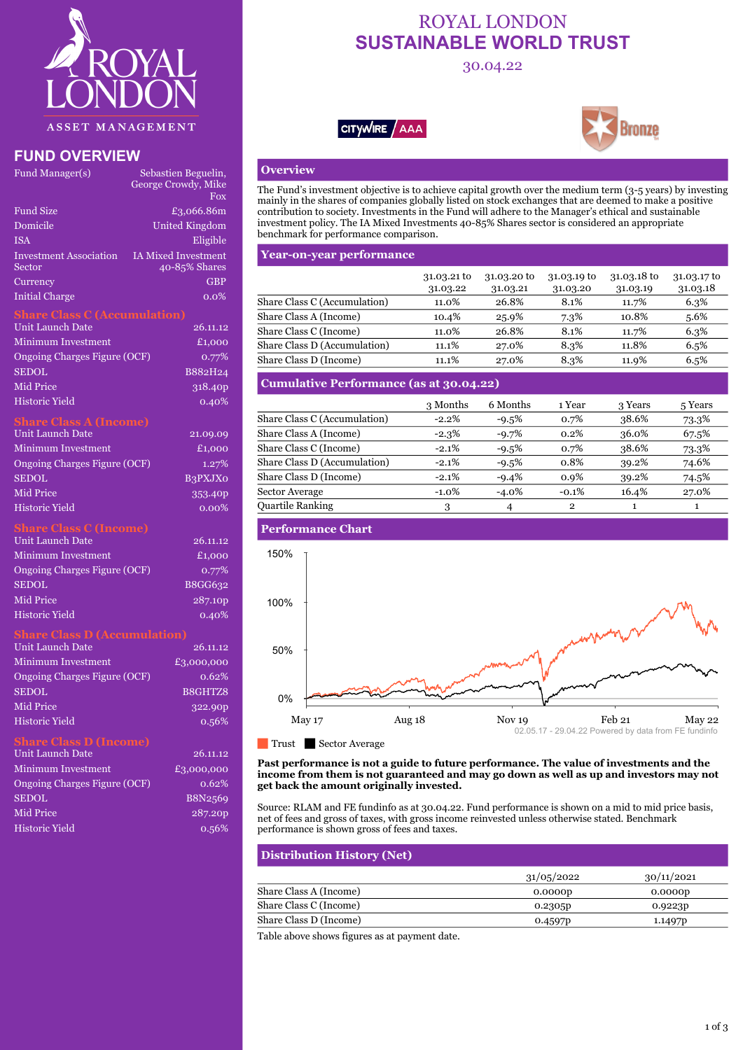

## **FUND OVERVIEW**

| Fund Manager(s)               | Sebastien Beguelin,        |
|-------------------------------|----------------------------|
|                               | George Crowdy, Mike        |
|                               | <b>Fox</b>                 |
| <b>Fund Size</b>              | £3,066.86m                 |
| Domicile                      | <b>United Kingdom</b>      |
| <b>ISA</b>                    | Eligible                   |
| <b>Investment Association</b> | <b>IA Mixed Investment</b> |
| Sector                        | 40-85% Shares              |
| Currency                      | <b>GBP</b>                 |
| <b>Initial Charge</b>         | $0.0\%$                    |

## **Share Class C (Accumulation)**

| Unit Launch Date             | 26.11.12            |
|------------------------------|---------------------|
| <b>Minimum Investment</b>    | £1,000              |
| Ongoing Charges Figure (OCF) | 0.77%               |
| <b>SEDOL</b>                 | B882H24             |
| <b>Mid Price</b>             | 318.40 <sub>p</sub> |
| Historic Yield               | 0.40%               |

### **Share Class A (Income)**

| Unit Launch Date             | 21.09.09       |
|------------------------------|----------------|
| <b>Minimum Investment</b>    | £1,000         |
| Ongoing Charges Figure (OCF) | 1.27%          |
| <b>SEDOL</b>                 | <b>B3PXJXO</b> |
| Mid Price                    | 353.40p        |
| <b>Historic Yield</b>        | $0.00\%$       |

## **Share Class C (Income)**

| 26.11.12 |
|----------|
| £1,000   |
| $0.77\%$ |
| B8GG632  |
| 287.10p  |
| 0.40%    |
|          |

## **Share Class D (Accumulation)**

| <b>Unit Launch Date</b>           | 26.11.12   |
|-----------------------------------|------------|
| Minimum Investment                | £3,000,000 |
| Ongoing Charges Figure (OCF)      | 0.62%      |
| <b>SEDOL</b>                      | B8GHTZ8    |
| Mid Price                         | 322.90p    |
| <b>Historic Yield</b>             | 0.56%      |
| <b>Contract Contract Contract</b> |            |

| Unit Launch Date             | 26.11.12   |
|------------------------------|------------|
| <b>Minimum Investment</b>    | £3,000,000 |
| Ongoing Charges Figure (OCF) | 0.62%      |
| <b>SEDOL</b>                 | B8N2569    |
| Mid Price                    | 287.20p    |
| <b>Historic Yield</b>        | 0.56%      |

## ROYAL LONDON **SUSTAINABLE WORLD TRUST**

## 30.04.22





## **Overview**

The Fund's investment objective is to achieve capital growth over the medium term (3-5 years) by investing mainly in the shares of companies globally listed on stock exchanges that are deemed to make a positive contribution to society. Investments in the Fund will adhere to the Manager's ethical and sustainable investment policy. The IA Mixed Investments 40-85% Shares sector is considered an appropriate benchmark for performance comparison.

## **Year-on-year performance**

|                              | 31.03.21 to<br>31.03.22 | 31.03.20 to<br>31.03.21 | 31.03.19 to<br>31.03.20 | 31.03.18 to<br>31.03.19 | 31.03.17 to<br>31.03.18 |
|------------------------------|-------------------------|-------------------------|-------------------------|-------------------------|-------------------------|
| Share Class C (Accumulation) | 11.0%                   | 26.8%                   | 8.1%                    | 11.7%                   | 6.3%                    |
| Share Class A (Income)       | 10.4%                   | 25.9%                   | 7.3%                    | 10.8%                   | 5.6%                    |
| Share Class C (Income)       | 11.0%                   | 26.8%                   | 8.1%                    | 11.7%                   | 6.3%                    |
| Share Class D (Accumulation) | 11.1%                   | 27.0%                   | 8.3%                    | 11.8%                   | 6.5%                    |
| Share Class D (Income)       | 11.1%                   | 27.0%                   | 8.3%                    | 11.9%                   | 6.5%                    |

## **Cumulative Performance (as at 30.04.22)**

|                              | 3 Months | 6 Months | 1 Year       | 3 Years | 5 Years |
|------------------------------|----------|----------|--------------|---------|---------|
| Share Class C (Accumulation) | $-2.2\%$ | $-9.5%$  | 0.7%         | 38.6%   | 73.3%   |
| Share Class A (Income)       | $-2.3%$  | $-9.7%$  | 0.2%         | 36.0%   | 67.5%   |
| Share Class C (Income)       | $-2.1%$  | $-9.5%$  | 0.7%         | 38.6%   | 73.3%   |
| Share Class D (Accumulation) | $-2.1%$  | $-9.5%$  | 0.8%         | 39.2%   | 74.6%   |
| Share Class D (Income)       | $-2.1%$  | $-9.4%$  | 0.9%         | 39.2%   | 74.5%   |
| <b>Sector Average</b>        | $-1.0\%$ | $-4.0\%$ | $-0.1\%$     | 16.4%   | 27.0%   |
| <b>Quartile Ranking</b>      | 3        | 4        | $\mathbf{2}$ |         |         |

## **Performance Chart**



### **Past performance is not a guide to future performance. The value of investments and the income from them is not guaranteed and may go down as well as up and investors may not get back the amount originally invested.**

Source: RLAM and FE fundinfo as at 30.04.22. Fund performance is shown on a mid to mid price basis, net of fees and gross of taxes, with gross income reinvested unless otherwise stated. Benchmark performance is shown gross of fees and taxes.

## **Distribution History (Net)**

|                        | 31/05/2022 | 30/11/2021          |
|------------------------|------------|---------------------|
| Share Class A (Income) | 0.0000p    | 0.0000p             |
| Share Class C (Income) | 0.2305p    | 0.9223p             |
| Share Class D (Income) | 0.4597p    | 1.1497 <sub>p</sub> |

Table above shows figures as at payment date.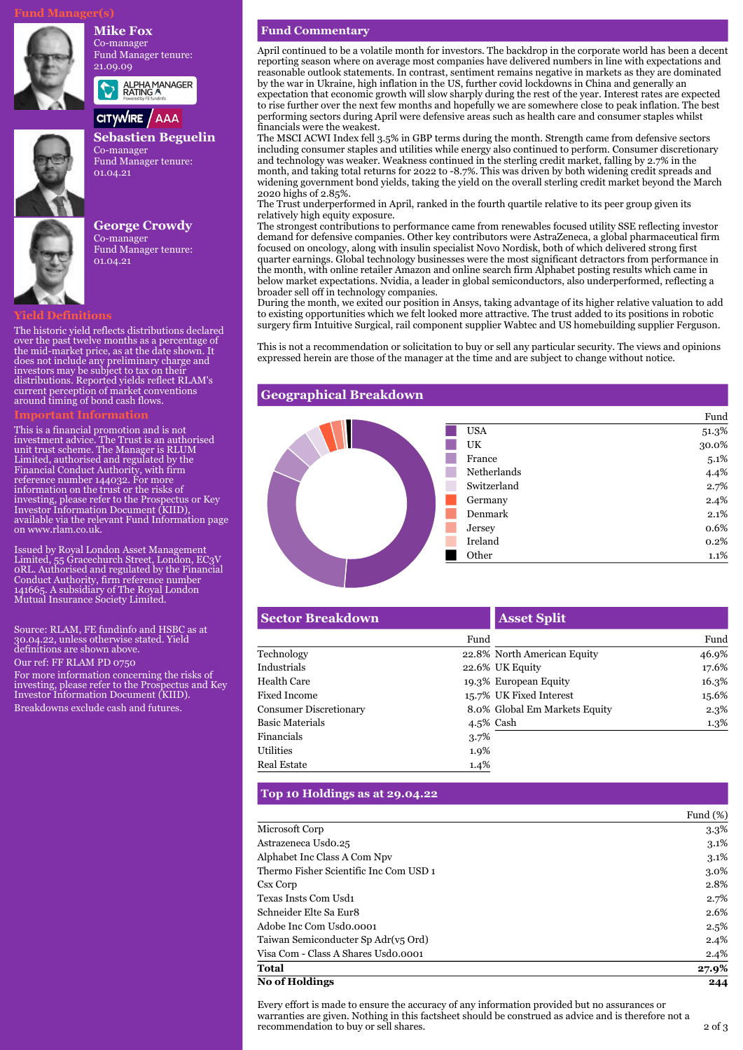## **Mike Fox**

Co-manager Fund Manager tenure: 21.09.09



# ALPHA MANAGER<br>RATING A

## CITYWIRE / AAA



**Sebastien Beguelin** Co-manager Fund Manager tenure: 01.04.21

**George Crowdy** Co-manager Fund Manager tenure: 01.04.21

## **Yield Definitions**

The historic yield reflects distributions declared over the past twelve months as a percentage of the mid-market price, as at the date shown. It does not include any preliminary charge and investors may be subject to tax on their distributions. Reported yields reflect RLAM's current perception of market conventions around timing of bond cash flows.

This is a financial promotion and is not investment advice. The Trust is an authorised unit trust scheme. The Manager is RLUM Limited, authorised and regulated by the Financial Conduct Authority, with firm reference number 144032. For more information on the trust or the risks of investing, please refer to the Prospectus or Key Investor Information Document (KIID), available via the relevant Fund Information page on www.rlam.co.uk.

Issued by Royal London Asset Management Limited, 55 Gracechurch Street, London, EC3V 0RL. Authorised and regulated by the Financial Conduct Authority, firm reference number 141665. A subsidiary of The Royal London Mutual Insurance Society Limited.

Source: RLAM, FE fundinfo and HSBC as at 30.04.22, unless otherwise stated. Yield definitions are shown above.

Our ref: FF RLAM PD 0750

For more information concerning the risks of investing, please refer to the Prospectus and Key Investor Information Document (KIID). Breakdowns exclude cash and futures.

## **Fund Commentary**

April continued to be a volatile month for investors. The backdrop in the corporate world has been a decent reporting season where on average most companies have delivered numbers in line with expectations and reasonable outlook statements. In contrast, sentiment remains negative in markets as they are dominated by the war in Ukraine, high inflation in the US, further covid lockdowns in China and generally an expectation that economic growth will slow sharply during the rest of the year. Interest rates are expected to rise further over the next few months and hopefully we are somewhere close to peak inflation. The best performing sectors during April were defensive areas such as health care and consumer staples whilst financials were the weakest.

The MSCI ACWI Index fell 3.5% in GBP terms during the month. Strength came from defensive sectors including consumer staples and utilities while energy also continued to perform. Consumer discretionary and technology was weaker. Weakness continued in the sterling credit market, falling by 2.7% in the month, and taking total returns for 2022 to -8.7%. This was driven by both widening credit spreads and widening government bond yields, taking the yield on the overall sterling credit market beyond the March 2020 highs of 2.85%.

The Trust underperformed in April, ranked in the fourth quartile relative to its peer group given its relatively high equity exposure.

The strongest contributions to performance came from renewables focused utility SSE reflecting investor demand for defensive companies. Other key contributors were AstraZeneca, a global pharmaceutical firm focused on oncology, along with insulin specialist Novo Nordisk, both of which delivered strong first quarter earnings. Global technology businesses were the most significant detractors from performance in the month, with online retailer Amazon and online search firm Alphabet posting results which came in below market expectations. Nvidia, a leader in global semiconductors, also underperformed, reflecting a broader sell off in technology companies.

During the month, we exited our position in Ansys, taking advantage of its higher relative valuation to add to existing opportunities which we felt looked more attractive. The trust added to its positions in robotic surgery firm Intuitive Surgical, rail component supplier Wabtec and US homebuilding supplier Ferguson.

This is not a recommendation or solicitation to buy or sell any particular security. The views and opinions expressed herein are those of the manager at the time and are subject to change without notice.

## **Geographical Breakdown**



| <b>Sector Breakdown</b>       |         | <b>Asset Split</b>            |       |
|-------------------------------|---------|-------------------------------|-------|
|                               | Fund    |                               | Fund  |
| Technology                    |         | 22.8% North American Equity   | 46.9% |
| Industrials                   |         | 22.6% UK Equity               | 17.6% |
| Health Care                   |         | 19.3% European Equity         | 16.3% |
| Fixed Income                  |         | 15.7% UK Fixed Interest       | 15.6% |
| <b>Consumer Discretionary</b> |         | 8.0% Global Em Markets Equity | 2.3%  |
| <b>Basic Materials</b>        |         | 4.5% Cash                     | 1.3%  |
| Financials                    | $3.7\%$ |                               |       |
| Utilities                     | 1.9%    |                               |       |
| <b>Real Estate</b>            | 1.4%    |                               |       |

## **Top 10 Holdings as at 29.04.22**

|                                        | Fund $(\%)$ |
|----------------------------------------|-------------|
| Microsoft Corp                         | $3.3\%$     |
| Astrazeneca Usdo.25                    | $3.1\%$     |
| Alphabet Inc Class A Com Npv           | $3.1\%$     |
| Thermo Fisher Scientific Inc Com USD 1 | 3.0%        |
| Csx Corp                               | 2.8%        |
| Texas Insts Com Usd1                   | 2.7%        |
| Schneider Elte Sa Eur8                 | 2.6%        |
| Adobe Inc Com Usdo.0001                | 2.5%        |
| Taiwan Semiconducter Sp Adr(v5 Ord)    | 2.4%        |
| Visa Com - Class A Shares Usdo.0001    | 2.4%        |
| <b>Total</b>                           | 27.9%       |
| <b>No of Holdings</b>                  | 244         |

Every effort is made to ensure the accuracy of any information provided but no assurances or warranties are given. Nothing in this factsheet should be construed as advice and is therefore not a recommendation to buy or sell shares. 2 of 3

Fund